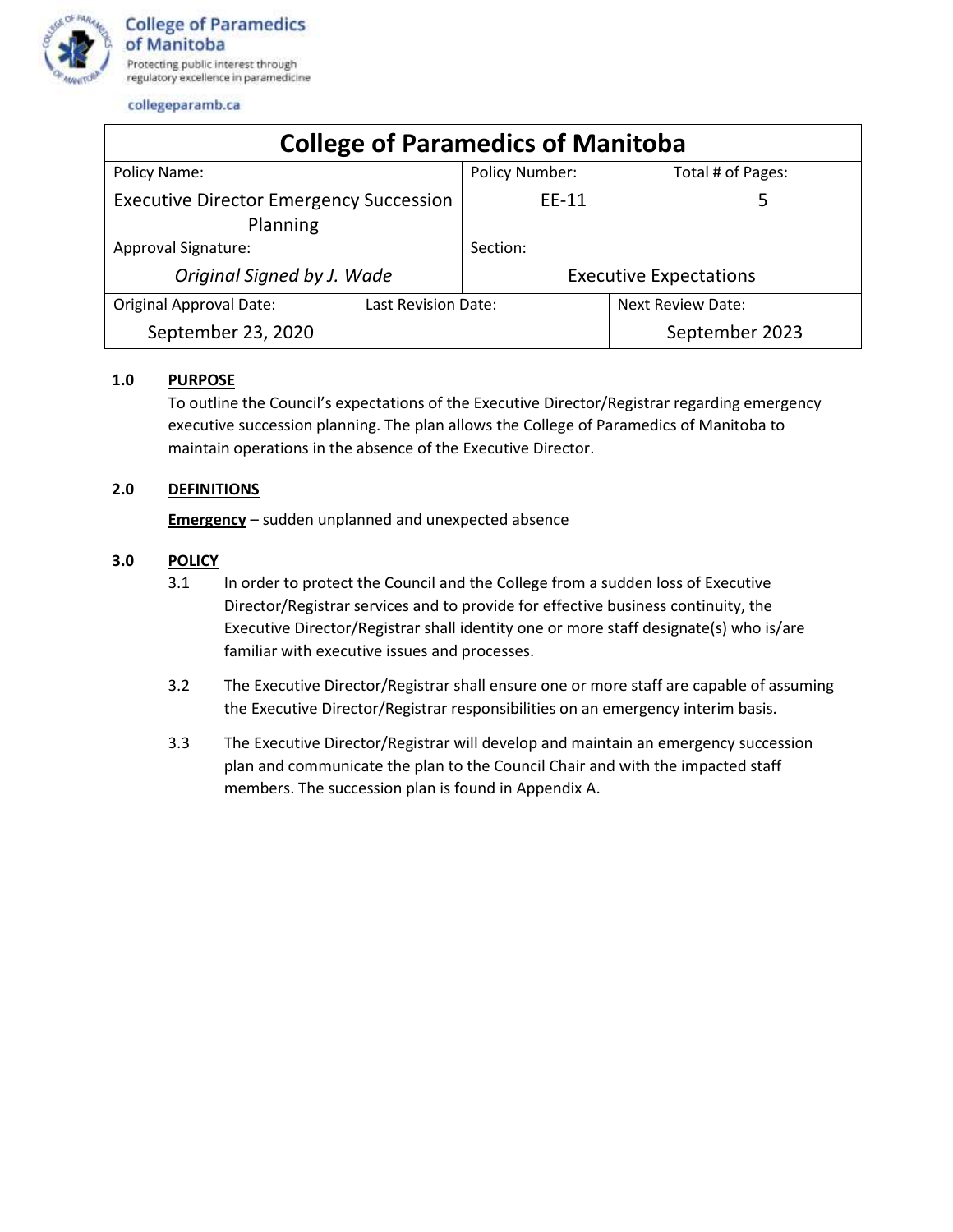

collegeparamb.ca

| <b>College of Paramedics of Manitoba</b>                   |                     |                               |                   |                   |
|------------------------------------------------------------|---------------------|-------------------------------|-------------------|-------------------|
| Policy Name:                                               |                     | <b>Policy Number:</b>         |                   | Total # of Pages: |
| <b>Executive Director Emergency Succession</b><br>Planning |                     | EE-11                         |                   |                   |
| Approval Signature:                                        |                     | Section:                      |                   |                   |
| Original Signed by J. Wade                                 |                     | <b>Executive Expectations</b> |                   |                   |
| <b>Original Approval Date:</b>                             | Last Revision Date: |                               | Next Review Date: |                   |
| September 23, 2020                                         |                     |                               |                   | September 2023    |

# **1.0 PURPOSE**

To outline the Council's expectations of the Executive Director/Registrar regarding emergency executive succession planning. The plan allows the College of Paramedics of Manitoba to maintain operations in the absence of the Executive Director.

# **2.0 DEFINITIONS**

**Emergency** – sudden unplanned and unexpected absence

# **3.0 POLICY**

- 3.1 In order to protect the Council and the College from a sudden loss of Executive Director/Registrar services and to provide for effective business continuity, the Executive Director/Registrar shall identity one or more staff designate(s) who is/are familiar with executive issues and processes.
- 3.2 The Executive Director/Registrar shall ensure one or more staff are capable of assuming the Executive Director/Registrar responsibilities on an emergency interim basis.
- 3.3 The Executive Director/Registrar will develop and maintain an emergency succession plan and communicate the plan to the Council Chair and with the impacted staff members. The succession plan is found in Appendix A.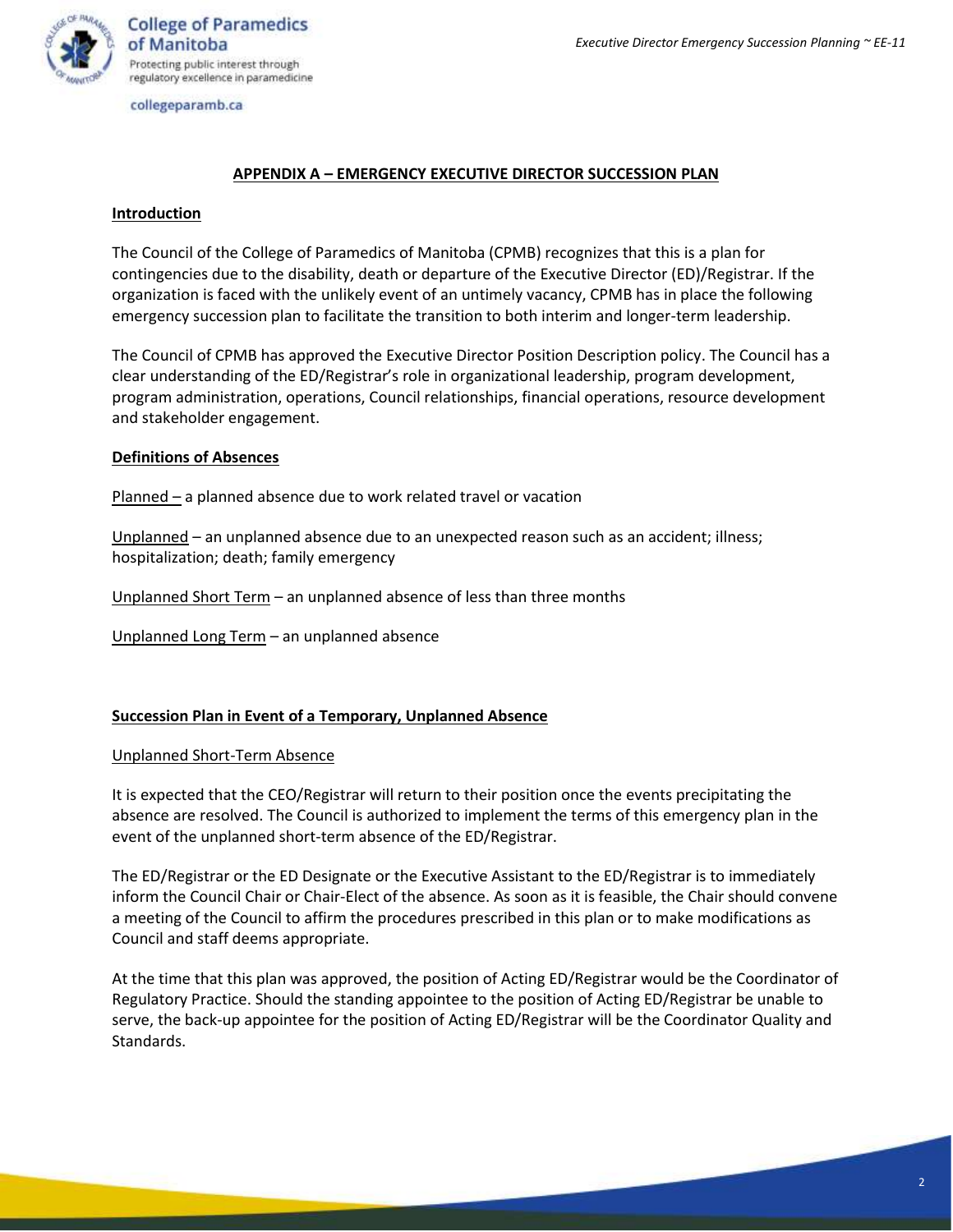

collegeparamb.ca

# **APPENDIX A – EMERGENCY EXECUTIVE DIRECTOR SUCCESSION PLAN**

### **Introduction**

The Council of the College of Paramedics of Manitoba (CPMB) recognizes that this is a plan for contingencies due to the disability, death or departure of the Executive Director (ED)/Registrar. If the organization is faced with the unlikely event of an untimely vacancy, CPMB has in place the following emergency succession plan to facilitate the transition to both interim and longer-term leadership.

The Council of CPMB has approved the Executive Director Position Description policy. The Council has a clear understanding of the ED/Registrar's role in organizational leadership, program development, program administration, operations, Council relationships, financial operations, resource development and stakeholder engagement.

### **Definitions of Absences**

Planned – a planned absence due to work related travel or vacation

Unplanned – an unplanned absence due to an unexpected reason such as an accident; illness; hospitalization; death; family emergency

Unplanned Short Term – an unplanned absence of less than three months

Unplanned Long Term – an unplanned absence

### **Succession Plan in Event of a Temporary, Unplanned Absence**

#### Unplanned Short-Term Absence

It is expected that the CEO/Registrar will return to their position once the events precipitating the absence are resolved. The Council is authorized to implement the terms of this emergency plan in the event of the unplanned short-term absence of the ED/Registrar.

The ED/Registrar or the ED Designate or the Executive Assistant to the ED/Registrar is to immediately inform the Council Chair or Chair-Elect of the absence. As soon as it is feasible, the Chair should convene a meeting of the Council to affirm the procedures prescribed in this plan or to make modifications as Council and staff deems appropriate.

At the time that this plan was approved, the position of Acting ED/Registrar would be the Coordinator of Regulatory Practice. Should the standing appointee to the position of Acting ED/Registrar be unable to serve, the back-up appointee for the position of Acting ED/Registrar will be the Coordinator Quality and Standards.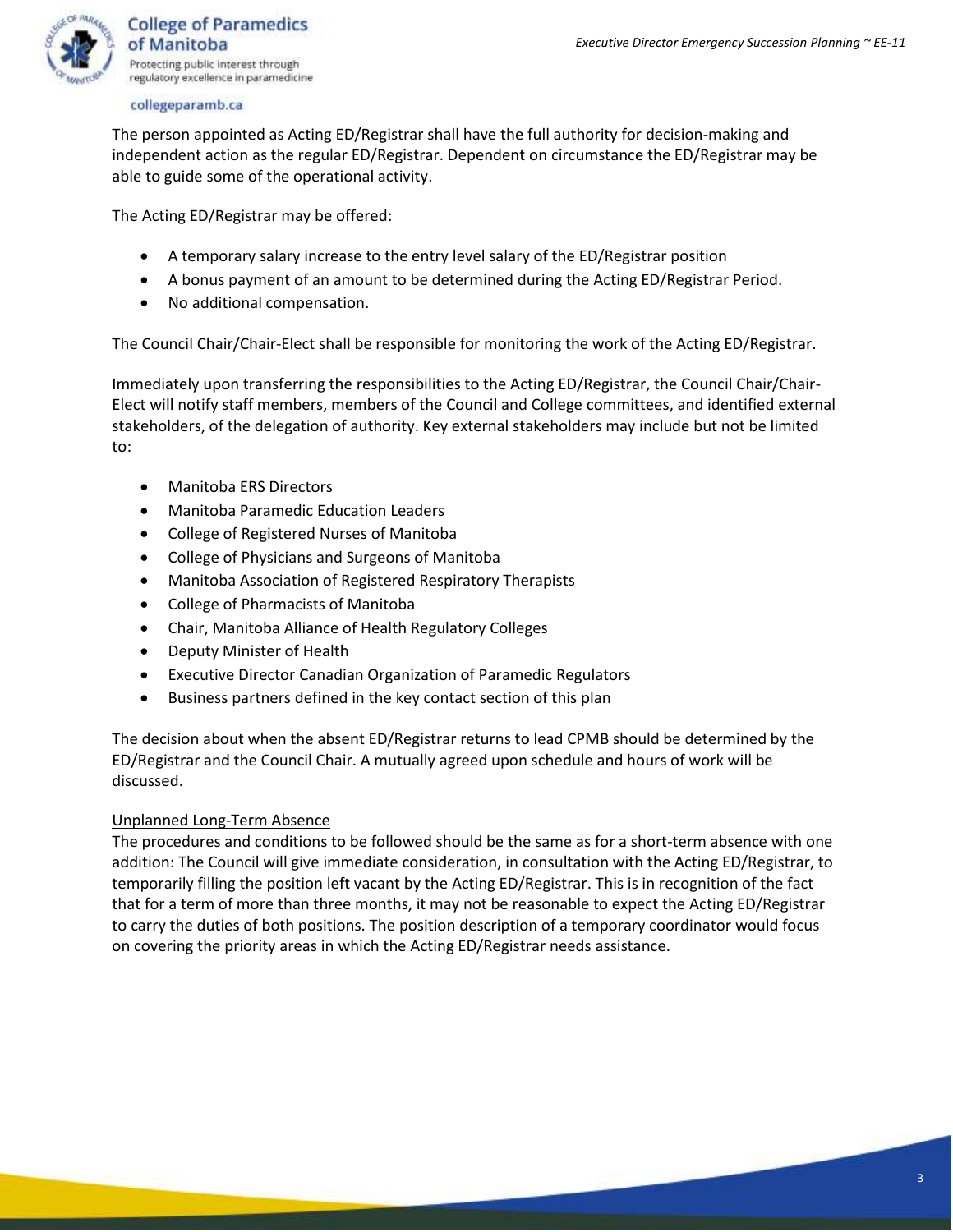

#### collegeparamb.ca

The person appointed as Acting ED/Registrar shall have the full authority for decision-making and independent action as the regular ED/Registrar. Dependent on circumstance the ED/Registrar may be able to guide some of the operational activity.

The Acting ED/Registrar may be offered:

- A temporary salary increase to the entry level salary of the ED/Registrar position
- A bonus payment of an amount to be determined during the Acting ED/Registrar Period.
- No additional compensation.

The Council Chair/Chair-Elect shall be responsible for monitoring the work of the Acting ED/Registrar.

Immediately upon transferring the responsibilities to the Acting ED/Registrar, the Council Chair/Chair-Elect will notify staff members, members of the Council and College committees, and identified external stakeholders, of the delegation of authority. Key external stakeholders may include but not be limited to:

- Manitoba ERS Directors
- Manitoba Paramedic Education Leaders
- College of Registered Nurses of Manitoba
- College of Physicians and Surgeons of Manitoba
- Manitoba Association of Registered Respiratory Therapists
- College of Pharmacists of Manitoba
- Chair, Manitoba Alliance of Health Regulatory Colleges
- Deputy Minister of Health
- Executive Director Canadian Organization of Paramedic Regulators
- Business partners defined in the key contact section of this plan

The decision about when the absent ED/Registrar returns to lead CPMB should be determined by the ED/Registrar and the Council Chair. A mutually agreed upon schedule and hours of work will be discussed.

# Unplanned Long-Term Absence

The procedures and conditions to be followed should be the same as for a short-term absence with one addition: The Council will give immediate consideration, in consultation with the Acting ED/Registrar, to temporarily filling the position left vacant by the Acting ED/Registrar. This is in recognition of the fact that for a term of more than three months, it may not be reasonable to expect the Acting ED/Registrar to carry the duties of both positions. The position description of a temporary coordinator would focus on covering the priority areas in which the Acting ED/Registrar needs assistance.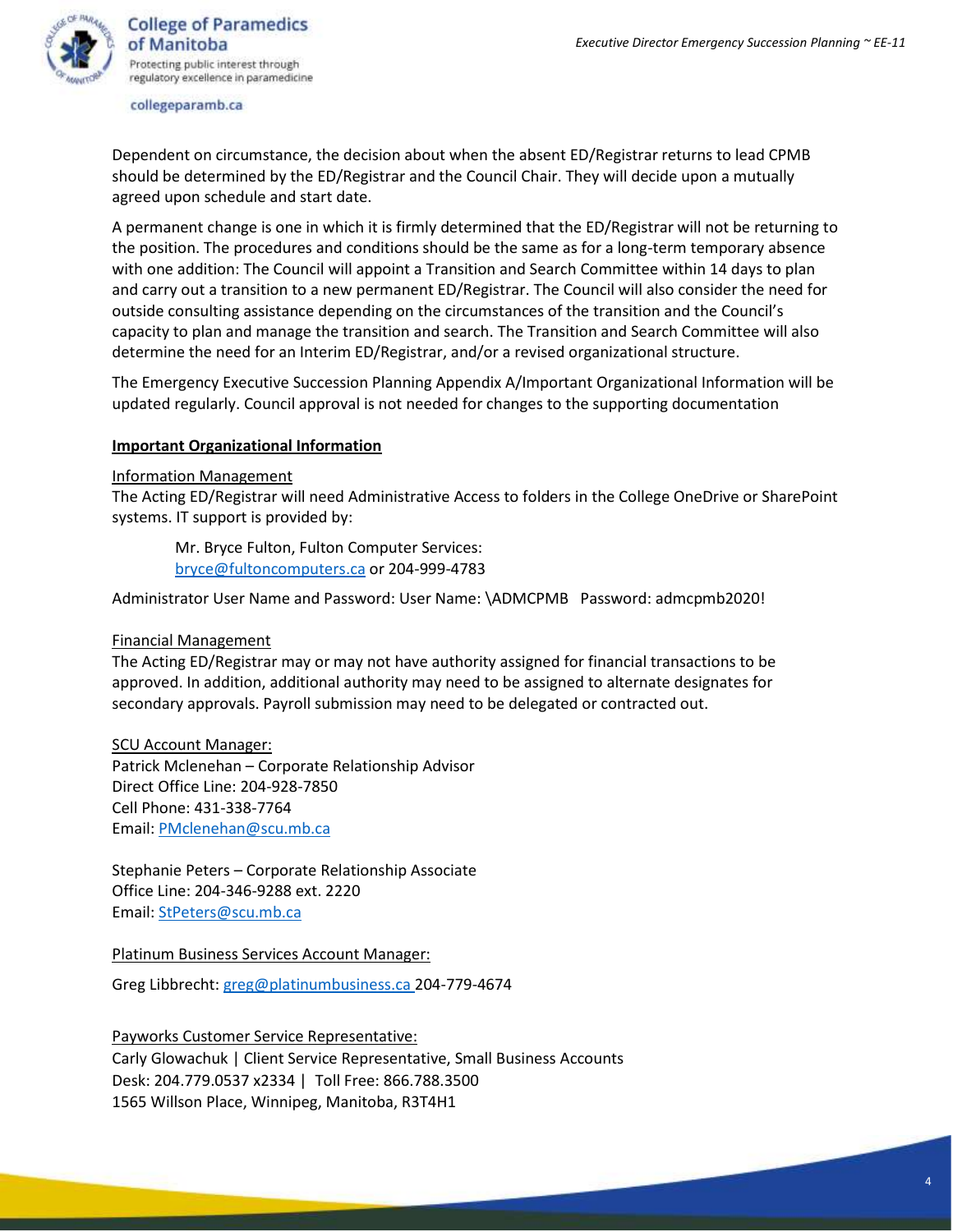

**College of Paramedics** of Manitoba Protecting public interest through regulatory excellence in paramedicine

#### collegeparamb.ca

Dependent on circumstance, the decision about when the absent ED/Registrar returns to lead CPMB should be determined by the ED/Registrar and the Council Chair. They will decide upon a mutually agreed upon schedule and start date.

A permanent change is one in which it is firmly determined that the ED/Registrar will not be returning to the position. The procedures and conditions should be the same as for a long-term temporary absence with one addition: The Council will appoint a Transition and Search Committee within 14 days to plan and carry out a transition to a new permanent ED/Registrar. The Council will also consider the need for outside consulting assistance depending on the circumstances of the transition and the Council's capacity to plan and manage the transition and search. The Transition and Search Committee will also determine the need for an Interim ED/Registrar, and/or a revised organizational structure.

The Emergency Executive Succession Planning Appendix A/Important Organizational Information will be updated regularly. Council approval is not needed for changes to the supporting documentation

### **Important Organizational Information**

#### Information Management

The Acting ED/Registrar will need Administrative Access to folders in the College OneDrive or SharePoint systems. IT support is provided by:

Mr. Bryce Fulton, Fulton Computer Services: [bryce@fultoncomputers.ca](mailto:bryce@fultoncomputers.ca) or 204-999-4783

Administrator User Name and Password: User Name: \ADMCPMB Password: admcpmb2020!

#### Financial Management

The Acting ED/Registrar may or may not have authority assigned for financial transactions to be approved. In addition, additional authority may need to be assigned to alternate designates for secondary approvals. Payroll submission may need to be delegated or contracted out.

SCU Account Manager: Patrick Mclenehan – Corporate Relationship Advisor Direct Office Line: 204-928-7850 Cell Phone: 431-338-7764 Email: [PMclenehan@scu.mb.ca](mailto:PMclenehan@scu.mb.ca)

Stephanie Peters – Corporate Relationship Associate Office Line: 204-346-9288 ext. 2220 Email: [StPeters@scu.mb.ca](mailto:StPeters@scu.mb.ca)

Platinum Business Services Account Manager:

Greg Libbrecht[: greg@platinumbusiness.ca](mailto:greg@platinumbusiness.ca) 204-779-4674

Payworks Customer Service Representative: Carly Glowachuk | Client Service Representative, Small Business Accounts Desk: 204.779.0537 x2334 | Toll Free: 866.788.3500 1565 Willson Place, Winnipeg, Manitoba, R3T4H1